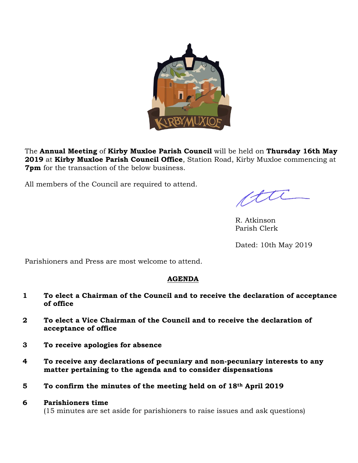

The **Annual Meeting** of **Kirby Muxloe Parish Council** will be held on **Thursday 16th May 2019** at **Kirby Muxloe Parish Council Office**, Station Road, Kirby Muxloe commencing at **7pm** for the transaction of the below business.

All members of the Council are required to attend.

ctu

R. Atkinson Parish Clerk

Dated: 10th May 2019

Parishioners and Press are most welcome to attend.

# **AGENDA**

- **1 To elect a Chairman of the Council and to receive the declaration of acceptance of office**
- **2 To elect a Vice Chairman of the Council and to receive the declaration of acceptance of office**
- **3 To receive apologies for absence**
- **4 To receive any declarations of pecuniary and non-pecuniary interests to any matter pertaining to the agenda and to consider dispensations**
- **5 To confirm the minutes of the meeting held on of 18th April 2019**
- **6 Parishioners time** (15 minutes are set aside for parishioners to raise issues and ask questions)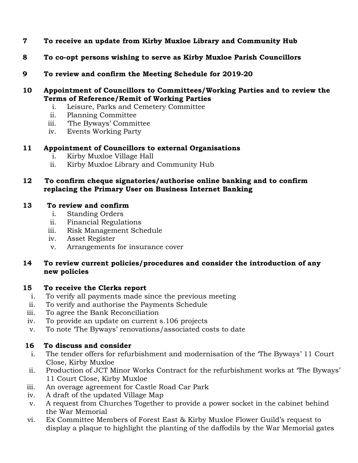- **7 To receive an update from Kirby Muxloe Library and Community Hub**
- **8 To co-opt persons wishing to serve as Kirby Muxloe Parish Councillors**
- **9 To review and confirm the Meeting Schedule for 2019-20**
- **10 Appointment of Councillors to Committees/Working Parties and to review the Terms of Reference/Remit of Working Parties**
	- i. Leisure, Parks and Cemetery Committee
	- ii. Planning Committee
	- iii. 'The Byways' Committee
	- iv. Events Working Party
- **11 Appointment of Councillors to external Organisations**
	- i. Kirby Muxloe Village Hall
	- ii. Kirby Muxloe Library and Community Hub

## **12 To confirm cheque signatories/authorise online banking and to confirm replacing the Primary User on Business Internet Banking**

### **13 To review and confirm**

- i. Standing Orders
- ii. Financial Regulations
- iii. Risk Management Schedule
- iv. Asset Register
- v. Arrangements for insurance cover

### **14 To review current policies/procedures and consider the introduction of any new policies**

#### **15 To receive the Clerks report**

- i. To verify all payments made since the previous meeting
- ii. To verify and authorise the Payments Schedule
- iii. To agree the Bank Reconciliation
- iv. To provide an update on current s.106 projects
- v. To note 'The Byways' renovations/associated costs to date

## **16 To discuss and consider**

- i. The tender offers for refurbishment and modernisation of the 'The Byways' 11 Court Close, Kirby Muxloe
- ii. Production of JCT Minor Works Contract for the refurbishment works at 'The Byways' 11 Court Close, Kirby Muxloe
- iii. An overage agreement for Castle Road Car Park
- iv. A draft of the updated Village Map
- v. A request from Churches Together to provide a power socket in the cabinet behind the War Memorial
- vi. Ex Committee Members of Forest East & Kirby Muxloe Flower Guild's request to display a plaque to highlight the planting of the daffodils by the War Memorial gates